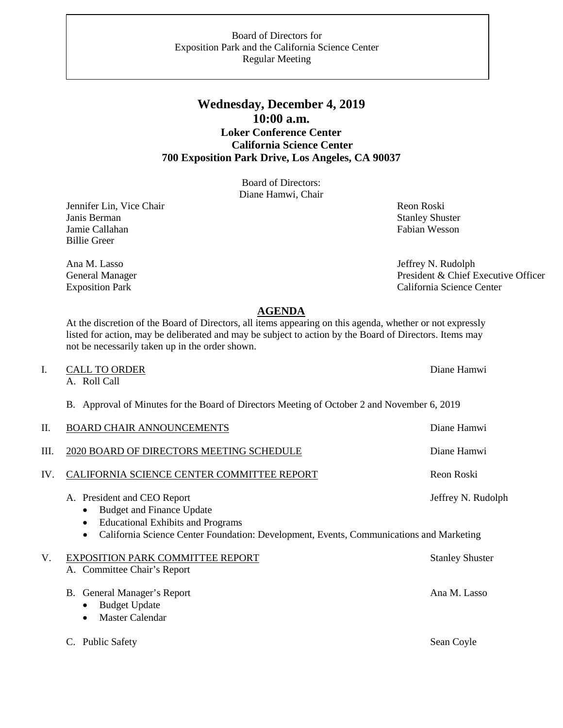## **Wednesday, December 4, 2019 10:00 a.m. Loker Conference Center California Science Center 700 Exposition Park Drive, Los Angeles, CA 90037**

Board of Directors: Diane Hamwi, Chair

Jennifer Lin, Vice Chair Revenue and The Reon Roski **Janis Berman** Stanley Shuster Jamie Callahan Fabian Wesson Fabian Wesson Billie Greer

Ana M. Lasso Jeffrey N. Rudolph General Manager President & Chief Executive Officer Exposition Park California Science Center

### **AGENDA**

At the discretion of the Board of Directors, all items appearing on this agenda, whether or not expressly listed for action, may be deliberated and may be subject to action by the Board of Directors. Items may not be necessarily taken up in the order shown.

# I. CALL TO ORDER Diane Hamwi A. Roll Call B. Approval of Minutes for the Board of Directors Meeting of October 2 and November 6, 2019 II. BOARD CHAIR ANNOUNCEMENTS Diane Hamwi III. 2020 BOARD OF DIRECTORS MEETING SCHEDULE Diane Hamwi IV. CALIFORNIA SCIENCE CENTER COMMITTEE REPORT Reon Roski A. President and CEO Report **A.** President and CEO Report **Jeffrey N. Rudolph** • Budget and Finance Update • Educational Exhibits and Programs • California Science Center Foundation: Development, Events, Communications and Marketing V. EXPOSITION PARK COMMITTEE REPORT Stanley Shuster A. Committee Chair's Report B. General Manager's Report Ana M. Lasso • Budget Update • Master Calendar

C. Public Safety Sean Coyle Safety Sean Coyle Sean Coyle Sean Coyle Sean Coyle Sean Coyle Sean Coyle Sean Coyle